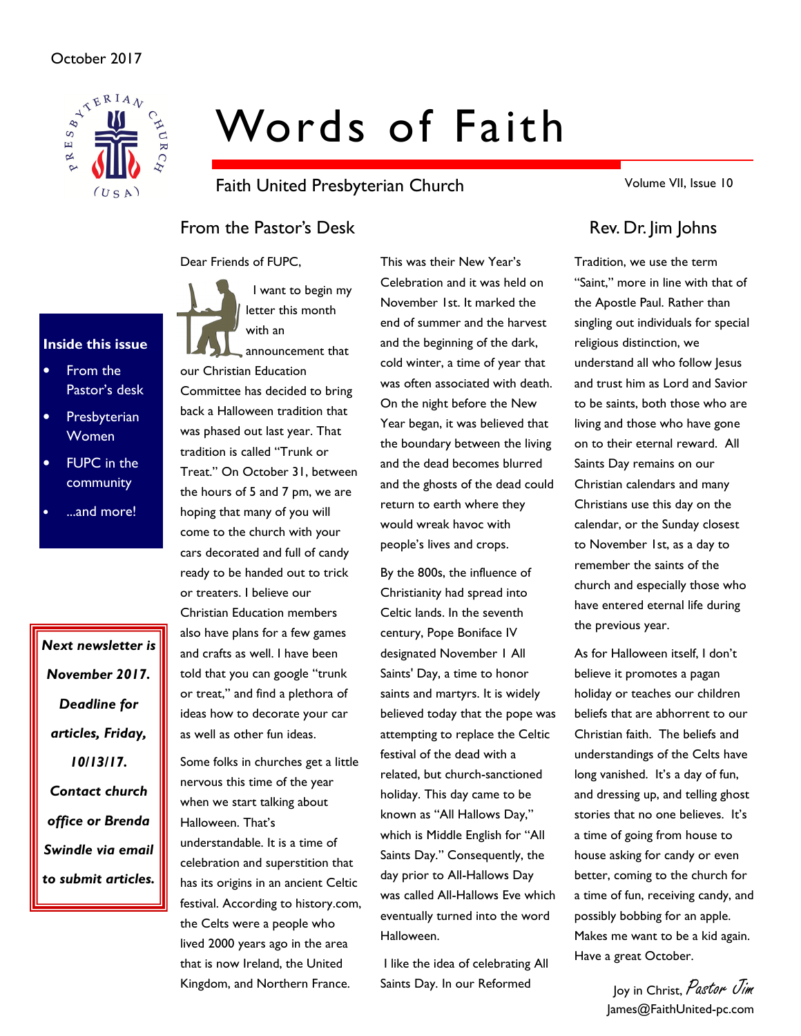

# Words of Faith

Faith United Presbyterian Church

Volume VII, Issue 10

## From the Pastor's Desk Rev. Dr. Jim Johns

Dear Friends of FUPC,



• From the Pastor's desk

Inside this issue

- **Presbyterian** Women
- **FUPC** in the community
- ...and more!

Next newsletter is November 2017. Deadline for articles, Friday, 10/13/17. Contact church office or Brenda Swindle via email to submit articles.

 I want to begin my letter this month with an

announcement that our Christian Education Committee has decided to bring back a Halloween tradition that was phased out last year. That tradition is called "Trunk or Treat." On October 31, between the hours of 5 and 7 pm, we are hoping that many of you will come to the church with your cars decorated and full of candy ready to be handed out to trick or treaters. I believe our Christian Education members also have plans for a few games and crafts as well. I have been told that you can google "trunk or treat," and find a plethora of ideas how to decorate your car as well as other fun ideas.

Some folks in churches get a little nervous this time of the year when we start talking about Halloween. That's

understandable. It is a time of celebration and superstition that has its origins in an ancient Celtic festival. According to history.com, the Celts were a people who lived 2000 years ago in the area that is now Ireland, the United Kingdom, and Northern France.

This was their New Year's Celebration and it was held on November 1st. It marked the end of summer and the harvest and the beginning of the dark, cold winter, a time of year that was often associated with death. On the night before the New Year began, it was believed that the boundary between the living and the dead becomes blurred and the ghosts of the dead could return to earth where they would wreak havoc with people's lives and crops.

By the 800s, the influence of Christianity had spread into Celtic lands. In the seventh century, Pope Boniface IV designated November 1 All Saints' Day, a time to honor saints and martyrs. It is widely believed today that the pope was attempting to replace the Celtic festival of the dead with a related, but church-sanctioned holiday. This day came to be known as "All Hallows Day," which is Middle English for "All Saints Day." Consequently, the day prior to All-Hallows Day was called All-Hallows Eve which eventually turned into the word Halloween.

 I like the idea of celebrating All Saints Day. In our Reformed

Tradition, we use the term "Saint," more in line with that of the Apostle Paul. Rather than singling out individuals for special religious distinction, we understand all who follow Jesus and trust him as Lord and Savior to be saints, both those who are living and those who have gone on to their eternal reward. All Saints Day remains on our Christian calendars and many Christians use this day on the calendar, or the Sunday closest to November 1st, as a day to remember the saints of the church and especially those who have entered eternal life during the previous year.

As for Halloween itself, I don't believe it promotes a pagan holiday or teaches our children beliefs that are abhorrent to our Christian faith. The beliefs and understandings of the Celts have long vanished. It's a day of fun, and dressing up, and telling ghost stories that no one believes. It's a time of going from house to house asking for candy or even better, coming to the church for a time of fun, receiving candy, and possibly bobbing for an apple. Makes me want to be a kid again. Have a great October.

> Joy in Christ, Pastor Jim James@FaithUnited-pc.com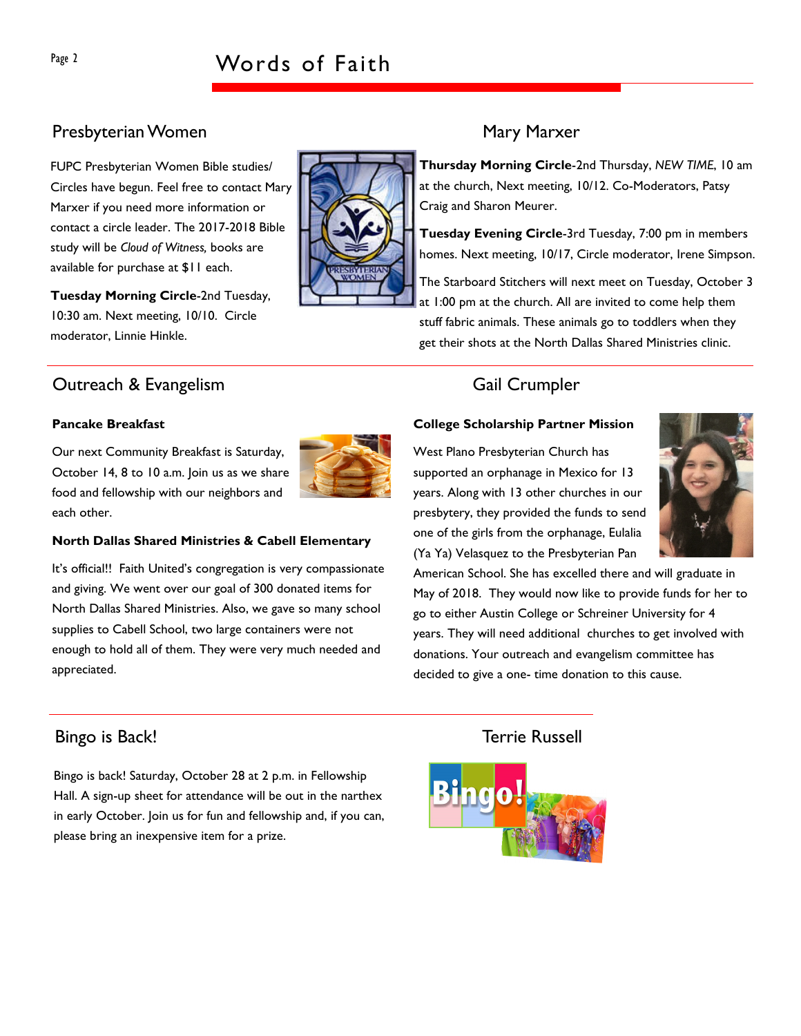## Page 2 Words of Faith

## Presbyterian Women Mary Marxer

FUPC Presbyterian Women Bible studies/ Circles have begun. Feel free to contact Mary Marxer if you need more information or contact a circle leader. The 2017-2018 Bible study will be Cloud of Witness, books are available for purchase at \$11 each.

Tuesday Morning Circle-2nd Tuesday, 10:30 am. Next meeting, 10/10. Circle moderator, Linnie Hinkle.

### **Outreach & Evangelism** Gail Crumpler

#### Pancake Breakfast

Our next Community Breakfast is Saturday, October 14, 8 to 10 a.m. Join us as we share food and fellowship with our neighbors and each other.



It's official!! Faith United's congregation is very compassionate and giving. We went over our goal of 300 donated items for North Dallas Shared Ministries. Also, we gave so many school supplies to Cabell School, two large containers were not enough to hold all of them. They were very much needed and appreciated.

### Bingo is Back! Terrie Russell

Bingo is back! Saturday, October 28 at 2 p.m. in Fellowship Hall. A sign-up sheet for attendance will be out in the narthex in early October. Join us for fun and fellowship and, if you can, please bring an inexpensive item for a prize.

Thursday Morning Circle-2nd Thursday, NEW TIME, 10 am at the church, Next meeting, 10/12. Co-Moderators, Patsy Craig and Sharon Meurer.

Tuesday Evening Circle-3rd Tuesday, 7:00 pm in members homes. Next meeting, 10/17, Circle moderator, Irene Simpson.

The Starboard Stitchers will next meet on Tuesday, October 3 at 1:00 pm at the church. All are invited to come help them stuff fabric animals. These animals go to toddlers when they get their shots at the North Dallas Shared Ministries clinic.

#### College Scholarship Partner Mission

West Plano Presbyterian Church has supported an orphanage in Mexico for 13 years. Along with 13 other churches in our presbytery, they provided the funds to send one of the girls from the orphanage, Eulalia (Ya Ya) Velasquez to the Presbyterian Pan

American School. She has excelled there and will graduate in May of 2018. They would now like to provide funds for her to go to either Austin College or Schreiner University for 4 years. They will need additional churches to get involved with donations. Your outreach and evangelism committee has decided to give a one- time donation to this cause.





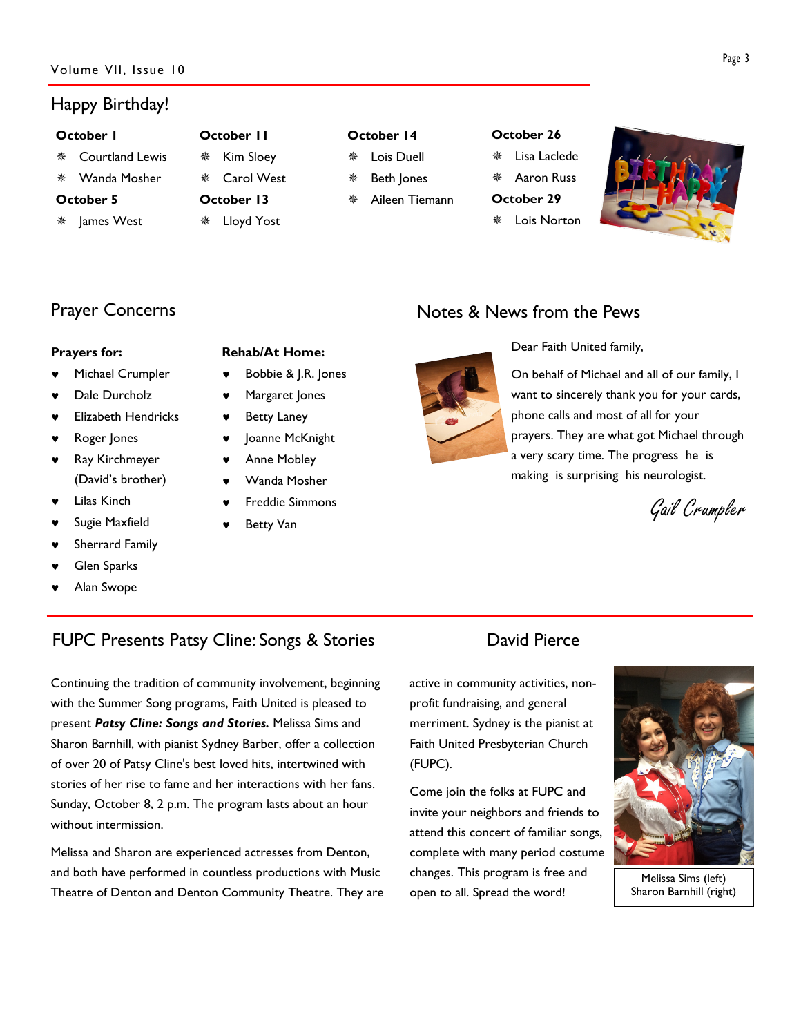#### Happy Birthday!

#### October 1

- Courtland Lewis
- Wanda Mosher

#### October 5

James West

## ※ Kim Sloev

October 11

- 
- 
- Carol West October 13
- Lloyd Yost

#### October 14

- Lois Duell
	- Beth Jones
- Aileen Tiemann

#### October 26

- Lisa Laclede
- Aaron Russ
- October 29
- Lois Norton



### Prayer Concerns

#### Prayers for:

- Michael Crumpler
- Dale Durcholz
- **Elizabeth Hendricks**
- Roger Jones
- ♥ Ray Kirchmeyer (David's brother)
- **Lilas Kinch**
- Sugie Maxfield
- Sherrard Family
- **Glen Sparks**
- Alan Swope

#### Rehab/At Home:

- Bobbie & J.R. Jones
- Margaret Jones
- **Betty Laney**
- Joanne McKnight
- **Anne Mobley**
- Wanda Mosher
- Freddie Simmons
- **Betty Van**

## Notes & News from the Pews



Dear Faith United family,

On behalf of Michael and all of our family, I want to sincerely thank you for your cards, phone calls and most of all for your prayers. They are what got Michael through a very scary time. The progress he is making is surprising his neurologist.

Gail Crumpler

## FUPC Presents Patsy Cline: Songs & Stories David Pierce

Continuing the tradition of community involvement, beginning with the Summer Song programs, Faith United is pleased to present Patsy Cline: Songs and Stories. Melissa Sims and Sharon Barnhill, with pianist Sydney Barber, offer a collection of over 20 of Patsy Cline's best loved hits, intertwined with stories of her rise to fame and her interactions with her fans. Sunday, October 8, 2 p.m. The program lasts about an hour without intermission.

Melissa and Sharon are experienced actresses from Denton, and both have performed in countless productions with Music Theatre of Denton and Denton Community Theatre. They are

active in community activities, nonprofit fundraising, and general merriment. Sydney is the pianist at Faith United Presbyterian Church (FUPC).

Come join the folks at FUPC and invite your neighbors and friends to attend this concert of familiar songs, complete with many period costume changes. This program is free and open to all. Spread the word!



Melissa Sims (left) Sharon Barnhill (right)